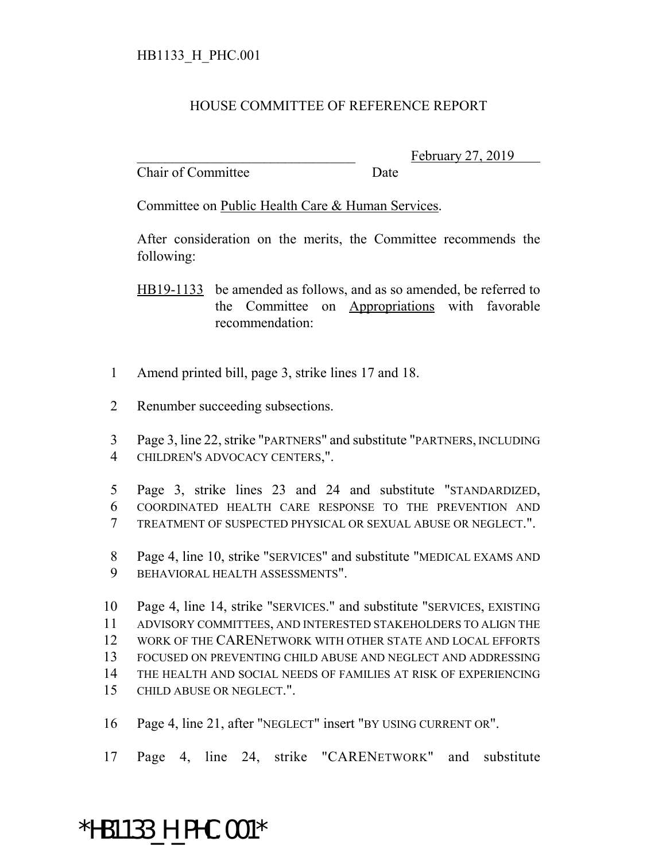## HB1133\_H\_PHC.001

## HOUSE COMMITTEE OF REFERENCE REPORT

Chair of Committee Date

February 27, 2019

Committee on Public Health Care & Human Services.

After consideration on the merits, the Committee recommends the following:

HB19-1133 be amended as follows, and as so amended, be referred to the Committee on Appropriations with favorable recommendation:

- Amend printed bill, page 3, strike lines 17 and 18.
- Renumber succeeding subsections.

 Page 3, line 22, strike "PARTNERS" and substitute "PARTNERS, INCLUDING CHILDREN'S ADVOCACY CENTERS,".

- Page 3, strike lines 23 and 24 and substitute "STANDARDIZED, COORDINATED HEALTH CARE RESPONSE TO THE PREVENTION AND TREATMENT OF SUSPECTED PHYSICAL OR SEXUAL ABUSE OR NEGLECT.".
- Page 4, line 10, strike "SERVICES" and substitute "MEDICAL EXAMS AND BEHAVIORAL HEALTH ASSESSMENTS".

 Page 4, line 14, strike "SERVICES." and substitute "SERVICES, EXISTING ADVISORY COMMITTEES, AND INTERESTED STAKEHOLDERS TO ALIGN THE WORK OF THE CARENETWORK WITH OTHER STATE AND LOCAL EFFORTS FOCUSED ON PREVENTING CHILD ABUSE AND NEGLECT AND ADDRESSING THE HEALTH AND SOCIAL NEEDS OF FAMILIES AT RISK OF EXPERIENCING CHILD ABUSE OR NEGLECT.".

Page 4, line 21, after "NEGLECT" insert "BY USING CURRENT OR".

Page 4, line 24, strike "CARENETWORK" and substitute

## \*HB1133\_H\_PHC.001\*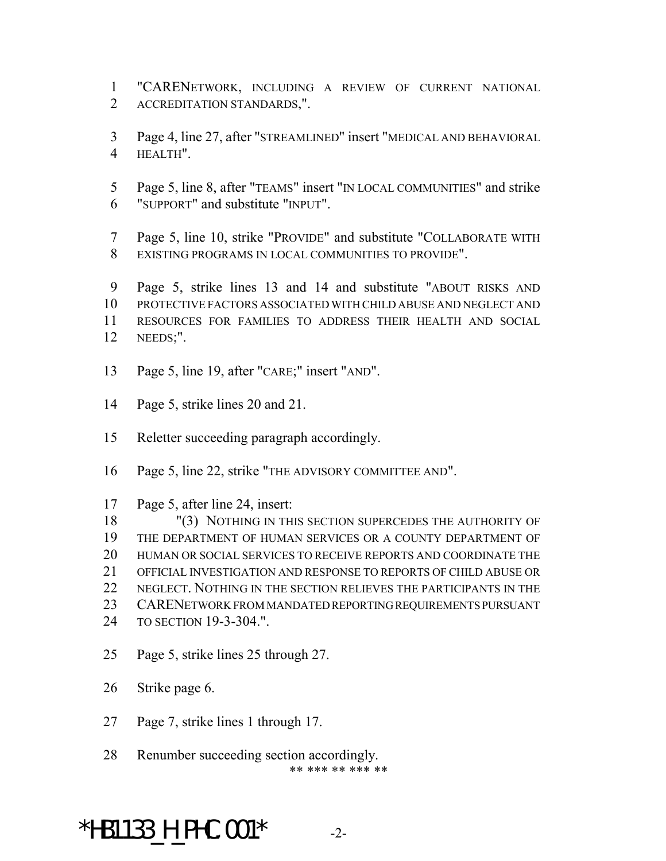"CARENETWORK, INCLUDING A REVIEW OF CURRENT NATIONAL ACCREDITATION STANDARDS,".

 Page 4, line 27, after "STREAMLINED" insert "MEDICAL AND BEHAVIORAL HEALTH".

 Page 5, line 8, after "TEAMS" insert "IN LOCAL COMMUNITIES" and strike "SUPPORT" and substitute "INPUT".

 Page 5, line 10, strike "PROVIDE" and substitute "COLLABORATE WITH EXISTING PROGRAMS IN LOCAL COMMUNITIES TO PROVIDE".

 Page 5, strike lines 13 and 14 and substitute "ABOUT RISKS AND PROTECTIVE FACTORS ASSOCIATED WITH CHILD ABUSE AND NEGLECT AND RESOURCES FOR FAMILIES TO ADDRESS THEIR HEALTH AND SOCIAL NEEDS;".

- Page 5, line 19, after "CARE;" insert "AND".
- Page 5, strike lines 20 and 21.
- Reletter succeeding paragraph accordingly.
- Page 5, line 22, strike "THE ADVISORY COMMITTEE AND".
- Page 5, after line 24, insert:

 "(3) NOTHING IN THIS SECTION SUPERCEDES THE AUTHORITY OF THE DEPARTMENT OF HUMAN SERVICES OR A COUNTY DEPARTMENT OF HUMAN OR SOCIAL SERVICES TO RECEIVE REPORTS AND COORDINATE THE OFFICIAL INVESTIGATION AND RESPONSE TO REPORTS OF CHILD ABUSE OR NEGLECT. NOTHING IN THE SECTION RELIEVES THE PARTICIPANTS IN THE CARENETWORK FROM MANDATED REPORTING REQUIREMENTS PURSUANT TO SECTION 19-3-304.".

- Page 5, strike lines 25 through 27.
- Strike page 6.
- Page 7, strike lines 1 through 17.
- Renumber succeeding section accordingly. \*\* \*\*\* \*\* \*\*\* \*\*

\*HB1133 H PHC.001\*  $-2$ -